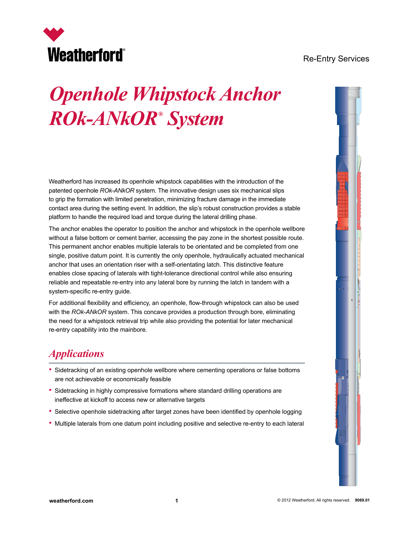# **Weatherford®**

#### Re-Entry Services

## *Openhole Whipstock Anchor ROk-ANkOR® System*

Weatherford has increased its openhole whipstock capabilities with the introduction of the patented openhole *ROk-ANkOR* system. The innovative design uses six mechanical slips to grip the formation with limited penetration, minimizing fracture damage in the immediate contact area during the setting event. In addition, the slip's robust construction provides a stable platform to handle the required load and torque during the lateral drilling phase.

The anchor enables the operator to position the anchor and whipstock in the openhole wellbore without a false bottom or cement barrier, accessing the pay zone in the shortest possible route. This permanent anchor enables multiple laterals to be orientated and be completed from one single, positive datum point. It is currently the only openhole, hydraulically actuated mechanical anchor that uses an orientation riser with a self-orientating latch. This distinctive feature enables close spacing of laterals with tight-tolerance directional control while also ensuring reliable and repeatable re-entry into any lateral bore by running the latch in tandem with a system-specific re-entry guide.

For additional flexibility and efficiency, an openhole, flow-through whipstock can also be used with the *ROk-ANkOR* system. This concave provides a production through bore, eliminating the need for a whipstock retrieval trip while also providing the potential for later mechanical re-entry capability into the mainbore.

## *Applications*

- Sidetracking of an existing openhole wellbore where cementing operations or false bottoms are not achievable or economically feasible
- Sidetracking in highly compressive formations where standard drilling operations are ineffective at kickoff to access new or alternative targets
- Selective openhole sidetracking after target zones have been identified by openhole logging
- Multiple laterals from one datum point including positive and selective re-entry to each lateral

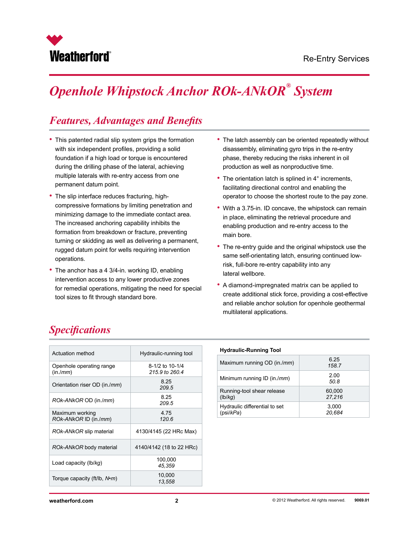

## *Openhole Whipstock Anchor ROk-ANkOR® System*

## *Features, Advantages and Benefits*

- This patented radial slip system grips the formation with six independent profiles, providing a solid foundation if a high load or torque is encountered during the drilling phase of the lateral, achieving multiple laterals with re-entry access from one permanent datum point.
- The slip interface reduces fracturing, highcompressive formations by limiting penetration and minimizing damage to the immediate contact area. The increased anchoring capability inhibits the formation from breakdown or fracture, preventing turning or skidding as well as delivering a permanent, rugged datum point for wells requiring intervention operations.
- The anchor has a 4 3/4-in. working ID, enabling intervention access to any lower productive zones for remedial operations, mitigating the need for special tool sizes to fit through standard bore.
- The latch assembly can be oriented repeatedly without disassembly, eliminating gyro trips in the re-entry phase, thereby reducing the risks inherent in oil production as well as nonproductive time.
- The orientation latch is splined in 4° increments, facilitating directional control and enabling the operator to choose the shortest route to the pay zone.
- With a 3.75-in. ID concave, the whipstock can remain in place, eliminating the retrieval procedure and enabling production and re-entry access to the main bore.
- The re-entry guide and the original whipstock use the same self-orientating latch, ensuring continued lowrisk, full-bore re-entry capability into any lateral wellbore.
- A diamond-impregnated matrix can be applied to create additional stick force, providing a cost-effective and reliable anchor solution for openhole geothermal multilateral applications.

## *Specifications*

| <b>Actuation method</b>                  | Hydraulic-running tool            |
|------------------------------------------|-----------------------------------|
| Openhole operating range<br>(in./mm)     | 8-1/2 to 10-1/4<br>215.9 to 260.4 |
| Orientation riser OD (in./ <i>mm</i> )   | 8.25<br>209.5                     |
| ROk-ANkOR OD (in./mm)                    | 8.25<br>209.5                     |
| Maximum working<br>ROK-ANKOR ID (in./mm) | 4.75<br>120.6                     |
| ROK-ANKOR slip material                  | 4130/4145 (22 HRc Max)            |
| ROK-ANKOR body material                  | 4140/4142 (18 to 22 HRc)          |
| Load capacity ( $\lfloor b/kg \rfloor$ ) | 100,000<br>45,359                 |
| Torque capacity (ft/lb, N•m)             | 10,000<br>13,558                  |

#### **Hydraulic-Running Tool**

| Maximum running OD (in./ <i>mm</i> ) | 6.25<br>158.7 |
|--------------------------------------|---------------|
| Minimum running ID (in./ <i>mm</i> ) | 2.00<br>50.8  |
| Running-tool shear release           | 60,000        |
| (lb/kg)                              | 27.216        |
| Hydraulic differential to set        | 3,000         |
| (psi/kPa)                            | 20.684        |

**weatherford.com 2**